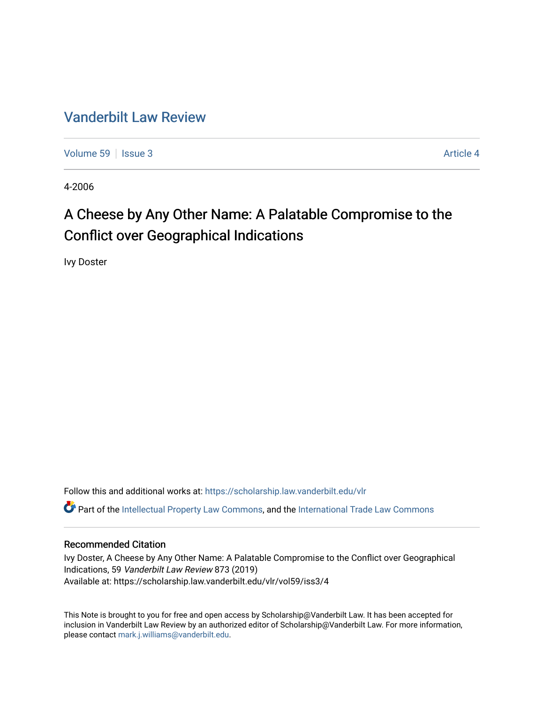### [Vanderbilt Law Review](https://scholarship.law.vanderbilt.edu/vlr)

[Volume 59](https://scholarship.law.vanderbilt.edu/vlr/vol59) | [Issue 3](https://scholarship.law.vanderbilt.edu/vlr/vol59/iss3) Article 4

4-2006

## A Cheese by Any Other Name: A Palatable Compromise to the Conflict over Geographical Indications

Ivy Doster

Follow this and additional works at: [https://scholarship.law.vanderbilt.edu/vlr](https://scholarship.law.vanderbilt.edu/vlr?utm_source=scholarship.law.vanderbilt.edu%2Fvlr%2Fvol59%2Fiss3%2F4&utm_medium=PDF&utm_campaign=PDFCoverPages) Part of the [Intellectual Property Law Commons,](http://network.bepress.com/hgg/discipline/896?utm_source=scholarship.law.vanderbilt.edu%2Fvlr%2Fvol59%2Fiss3%2F4&utm_medium=PDF&utm_campaign=PDFCoverPages) and the [International Trade Law Commons](http://network.bepress.com/hgg/discipline/848?utm_source=scholarship.law.vanderbilt.edu%2Fvlr%2Fvol59%2Fiss3%2F4&utm_medium=PDF&utm_campaign=PDFCoverPages) 

#### Recommended Citation

Ivy Doster, A Cheese by Any Other Name: A Palatable Compromise to the Conflict over Geographical Indications, 59 Vanderbilt Law Review 873 (2019) Available at: https://scholarship.law.vanderbilt.edu/vlr/vol59/iss3/4

This Note is brought to you for free and open access by Scholarship@Vanderbilt Law. It has been accepted for inclusion in Vanderbilt Law Review by an authorized editor of Scholarship@Vanderbilt Law. For more information, please contact [mark.j.williams@vanderbilt.edu.](mailto:mark.j.williams@vanderbilt.edu)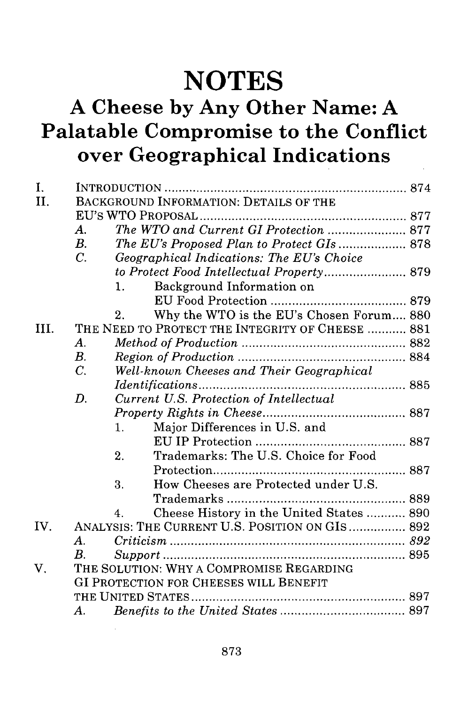# **NOTES**

## **A Cheese by Any Other Name: A Palatable Compromise to the Conflict over Geographical Indications**

| I.<br>II. | BACKGROUND INFORMATION: DETAILS OF THE           |                |                                            |  |  |
|-----------|--------------------------------------------------|----------------|--------------------------------------------|--|--|
|           |                                                  |                |                                            |  |  |
|           | A.                                               |                | The WTO and Current GI Protection  877     |  |  |
|           | $B_{\cdot}$                                      |                | The EU's Proposed Plan to Protect GIs  878 |  |  |
|           | $\overline{C}$ .                                 |                | Geographical Indications: The EU's Choice  |  |  |
|           |                                                  |                |                                            |  |  |
|           |                                                  | 1.             | Background Information on                  |  |  |
|           |                                                  |                |                                            |  |  |
|           |                                                  |                |                                            |  |  |
|           |                                                  | 2.             | Why the WTO is the EU's Chosen Forum 880   |  |  |
| HL.       | THE NEED TO PROTECT THE INTEGRITY OF CHEESE  881 |                |                                            |  |  |
|           | $\bm{A}$ .                                       |                |                                            |  |  |
|           | B <sub>1</sub>                                   |                |                                            |  |  |
|           | $C$ .                                            |                | Well-known Cheeses and Their Geographical  |  |  |
|           |                                                  |                |                                            |  |  |
|           | D.                                               |                | Current U.S. Protection of Intellectual    |  |  |
|           |                                                  |                |                                            |  |  |
|           |                                                  | $\mathbf{1}$ . | Major Differences in U.S. and              |  |  |
|           |                                                  |                |                                            |  |  |
|           |                                                  | 2.             | Trademarks: The U.S. Choice for Food       |  |  |
|           |                                                  |                |                                            |  |  |
|           |                                                  | 3.             | How Cheeses are Protected under U.S.       |  |  |
|           |                                                  |                |                                            |  |  |
|           |                                                  | 4              | Cheese History in the United States  890   |  |  |
| IV.       | ANALYSIS: THE CURRENT U.S. POSITION ON GIS 892   |                |                                            |  |  |
|           | $A_{\cdot}$                                      |                |                                            |  |  |
|           | B.                                               |                |                                            |  |  |
| V.        | THE SOLUTION: WHY A COMPROMISE REGARDING         |                |                                            |  |  |
|           | GI PROTECTION FOR CHEESES WILL BENEFIT           |                |                                            |  |  |
|           |                                                  |                |                                            |  |  |
|           | А.                                               |                |                                            |  |  |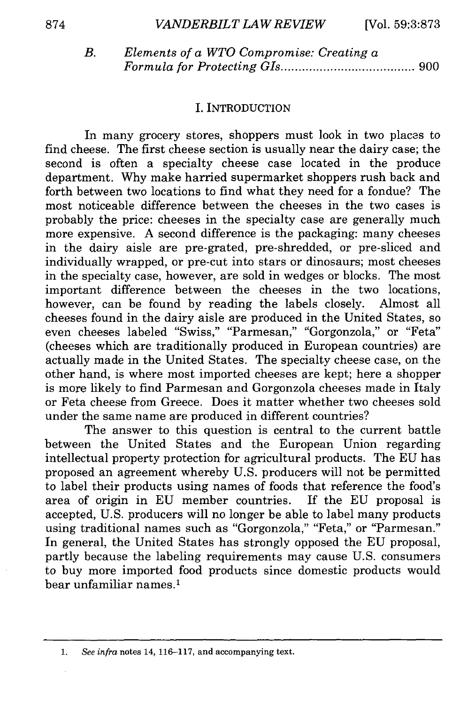| B. | Elements of a WTO Compromise: Creating a |  |  |  |  |
|----|------------------------------------------|--|--|--|--|
|    |                                          |  |  |  |  |

#### I. INTRODUCTION

In many grocery stores, shoppers must look in two places to find cheese. The first cheese section is usually near the dairy case; the second is often a specialty cheese case located in the produce department. Why make harried supermarket shoppers rush back and forth between two locations to find what they need for a fondue? The most noticeable difference between the cheeses in the two cases is probably the price: cheeses in the specialty case are generally much more expensive. A second difference is the packaging: many cheeses in the dairy aisle are pre-grated, pre-shredded, or pre-sliced and individually wrapped, or pre-cut into stars or dinosaurs; most cheeses in the specialty case, however, are sold in wedges or blocks. The most important difference between the cheeses in the two locations, however, can be found by reading the labels closely. Almost all cheeses found in the dairy aisle are produced in the United States, so even cheeses labeled "Swiss," "Parmesan," "Gorgonzola," or "Feta" (cheeses which are traditionally produced in European countries) are actually made in the United States. The specialty cheese case, on the other hand, is where most imported cheeses are kept; here a shopper is more likely to find Parmesan and Gorgonzola cheeses made in Italy or Feta cheese from Greece. Does it matter whether two cheeses sold under the same name are produced in different countries?

The answer to this question is central to the current battle between the United States and the European Union regarding intellectual property protection for agricultural products. The EU has proposed an agreement whereby U.S. producers will not be permitted to label their products using names of foods that reference the food's area of origin in EU member countries. If the EU proposal is accepted, U.S. producers will no longer be able to label many products using traditional names such as "Gorgonzola," "Feta," or "Parmesan." In general, the United States has strongly opposed the EU proposal, partly because the labeling requirements may cause U.S. consumers to buy more imported food products since domestic products would bear unfamiliar names.'

<sup>1.</sup> *See infra* notes 14, 116-117, and accompanying text.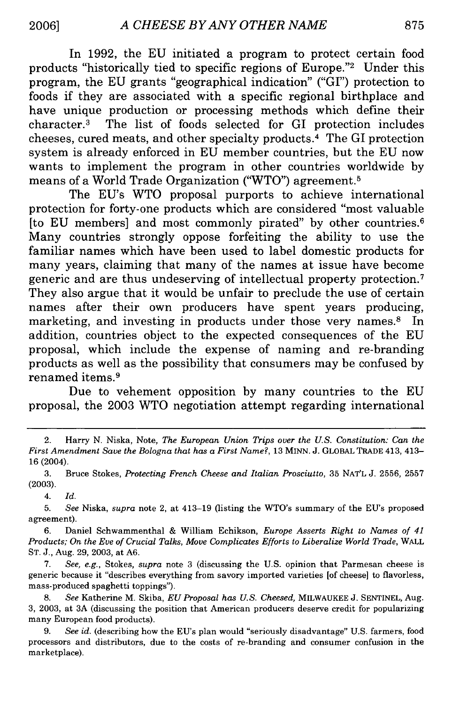In 1992, the EU initiated a program to protect certain food products "historically tied to specific regions of Europe."<sup>2</sup> Under this program, the EU grants "geographical indication" ("GI") protection to foods if they are associated with a specific regional birthplace and have unique production or processing methods which define their character. 3 The list of foods selected for GI protection includes cheeses, cured meats, and other specialty products. 4 The GI protection system is already enforced in EU member countries, but the EU now wants to implement the program in other countries worldwide by means of a World Trade Organization ("WTO") agreement. <sup>5</sup>

The EU's WTO proposal purports to achieve international protection for forty-one products which are considered "most valuable [to EU members] and most commonly pirated" by other countries. $6$ Many countries strongly oppose forfeiting the ability to use the familiar names which have been used to label domestic products for many years, claiming that many of the names at issue have become generic and are thus undeserving of intellectual property protection. <sup>7</sup> They also argue that it would be unfair to preclude the use of certain names after their own producers have spent years producing, marketing, and investing in products under those very names.<sup>8</sup> In addition, countries object to the expected consequences of the EU proposal, which include the expense of naming and re-branding products as well as the possibility that consumers may be confused by renamed items. <sup>9</sup>

Due to vehement opposition by many countries to the EU proposal, the 2003 WTO negotiation attempt regarding international

*4. Id.*

5. *See* Niska, *supra* note 2, at 413-19 (listing the WTO's summary of the EU's proposed agreement).

6. Daniel Schwammenthal & William Echikson, *Europe Asserts Right to Names of 41 Products; On the Eve of Crucial Talks, Move Complicates Efforts to Liberalize World Trade,* WALL ST. J., Aug. 29, 2003, at A6.

7. *See, e.g.,* Stokes, *supra* note 3 (discussing the U.S. opinion that Parmesan cheese is generic because it "describes everything from savory imported varieties [of cheese] to flavorless, mass-produced spaghetti toppings").

**8.** *See* Katherine M. Skiba, *EU Proposal has U.S. Cheesed,* MILWAUKEE J. SENTINEL, Aug. 3, 2003, at 3A (discussing the position that American producers deserve credit for popularizing many European food products).

9. *See id.* (describing how the EU's plan would "seriously disadvantage" U.S. farmers, food processors and distributors, due to the costs of re-branding and consumer confusion in the marketplace).

<sup>2.</sup> Harry N. Niska, Note, *The European Union Trips over the U.S. Constitution: Can the First Amendment Save the Bologna that has a First Name?,* 13 MINN. J. GLOBAL TRADE 413, 413- 16 (2004).

<sup>3.</sup> Bruce Stokes, *Protecting French Cheese and Italian Prosciutto,* 35 NAT'L J. 2556, 2557 (2003).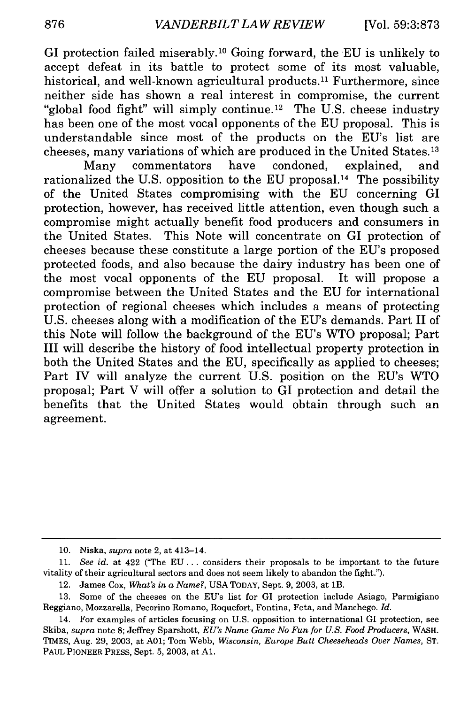GI protection failed miserably. 10 Going forward, the EU is unlikely to accept defeat in its battle to protect some of its most valuable, historical, and well-known agricultural products.<sup>11</sup> Furthermore, since neither side has shown a real interest in compromise, the current "global food fight" will simply continue.<sup>12</sup> The U.S. cheese industry has been one of the most vocal opponents of the EU proposal. This is understandable since most of the products on the EU's list are cheeses, many variations of which are produced in the United States. 13

Many commentators have condoned, explained, and rationalized the U.S. opposition to the EU proposal.<sup>14</sup> The possibility of the United States compromising with the EU concerning GI protection, however, has received little attention, even though such a compromise might actually benefit food producers and consumers in the United States. This Note will concentrate on GI protection of cheeses because these constitute a large portion of the EU's proposed protected foods, and also because the dairy industry has been one of the most vocal opponents of the EU proposal. It will propose a compromise between the United States and the EU for international protection of regional cheeses which includes a means of protecting U.S. cheeses along with a modification of the EU's demands. Part II of this Note will follow the background of the EU's WTO proposal; Part III will describe the history of food intellectual property protection in both the United States and the EU, specifically as applied to cheeses; Part IV will analyze the current U.S. position on the EU's WTO proposal; Part V will offer a solution to GI protection and detail the benefits that the United States would obtain through such an agreement.

**<sup>10.</sup>** Niska, *supra* note 2, at 413-14.

**<sup>11.</sup>** *See id.* at 422 ('The EU... considers their proposals to be important to the future vitality of their agricultural sectors and does not seem likely to abandon the fight.").

<sup>12.</sup> James Cox, *What's in a Name?,* USA TODAY, Sept. 9, 2003, at 1B.

<sup>13.</sup> Some of the cheeses on the EU's list for GI protection include Asiago, Parmigiano Reggiano, Mozzarella, Pecorino Romano, Roquefort, Fontina, Feta, and Manchego. *Id.*

<sup>14.</sup> For examples of articles focusing on U.S. opposition to international GI protection, see Skiba, *supra* note 8; Jeffrey Sparshott, *EU's Name Game No Fun for U.S. Food Producers,* WASH. TIMES, Aug. 29, 2003, at **A01;** Tom Webb, *Wisconsin, Europe Butt Cheeseheads Over Names,* ST. PAUL PIONEER PRESS, Sept. 5, 2003, at **Al.**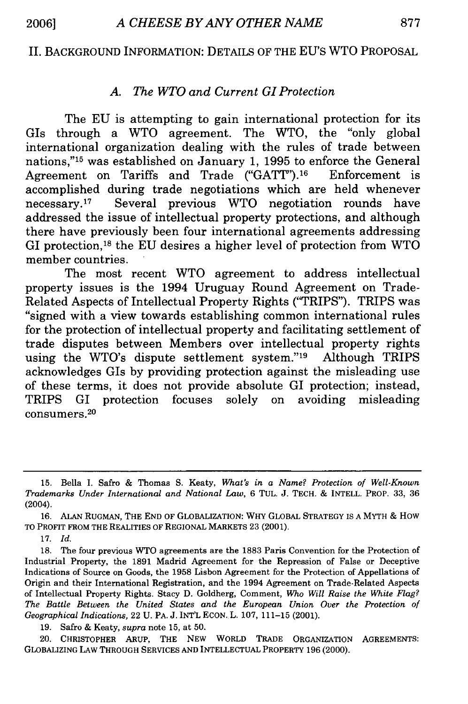#### II. BACKGROUND INFORMATION: DETAILS OF THE EU'S WTO PROPOSAL

#### *A. The WTO and Current GI Protection*

The EU is attempting to gain international protection for its GIs through a WTO agreement. The WTO, the "only global international organization dealing with the rules of trade between nations,"'15 was established on January 1, 1995 to enforce the General Agreement on Tariffs and Trade ("GATT"). 16 Enforcement is accomplished during trade negotiations which are held whenever necessary. 17 Several previous WTO negotiation rounds have addressed the issue of intellectual property protections, and although there have previously been four international agreements addressing GI protection,'8 the EU desires a higher level of protection from WTO member countries.

The most recent WTO agreement to address intellectual property issues is the 1994 Uruguay Round Agreement on Trade-Related Aspects of Intellectual Property Rights ('TRIPS"). TRIPS was "signed with a view towards establishing common international rules for the protection of intellectual property and facilitating settlement of trade disputes between Members over intellectual property rights using the WTO's dispute settlement system."19 Although TRIPS acknowledges GIs by providing protection against the misleading use of these terms, it does not provide absolute GI protection; instead, TRIPS GI protection focuses solely on avoiding misleading consumers. 20

**17.** *Id.*

19. Safro & Keaty, *supra* note 15, at 50.

20. CHRISTOPHER ARUP, THE **NEW** WORLD TRADE ORGANIZATION **AGREEMENTS:** GLOBALIZING LAW THROUGH SERVICES AND INTELLECTUAL PROPERTY 196 (2000).

<sup>15.</sup> Bella I. Safro & Thomas S. Keaty, *What's in a Name? Protection of Well-Known Trademarks Under International and National Law,* 6 TUL. J. TECH. & INTELL. PROP. 33, 36 (2004).

<sup>16.</sup> ALAN RUGMAN, THE END OF GLOBALIZATION: WHY GLOBAL STRATEGY IS A MYTH & How TO PROFIT FROM THE REALITIES OF REGIONAL MARKETS 23 (2001).

<sup>18.</sup> The four previous WTO agreements are the 1883 Paris Convention for the Protection of Industrial Property, the 1891 Madrid Agreement for the Repression of False or Deceptive Indications of Source on Goods, the 1958 Lisbon Agreement for the Protection of Appellations of Origin and their International Registration, and the 1994 Agreement on Trade-Related Aspects of Intellectual Property Rights. Stacy D. Goldberg, Comment, *Who Will Raise the White Flag? The Battle Between the United States and the European Union Over the Protection of Geographical Indications,* 22 U. PA. J. INT'L ECON. L. 107, 111-15 (2001).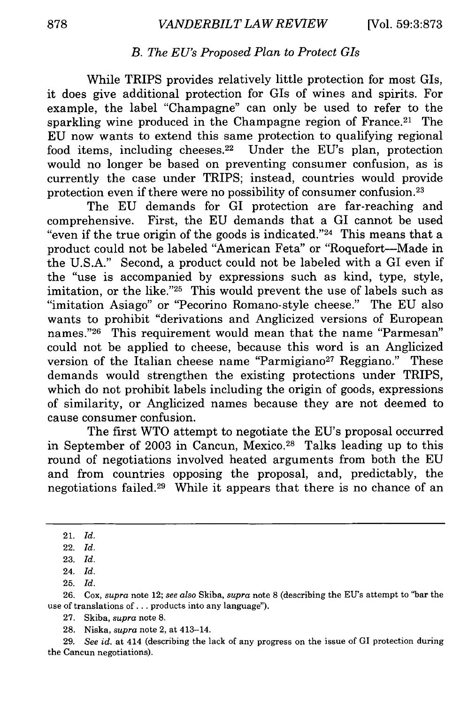#### *B. The EU's Proposed Plan to Protect GIs*

While TRIPS provides relatively little protection for most GIs, it does give additional protection for GIs of wines and spirits. For example, the label "Champagne" can only be used to refer to the sparkling wine produced in the Champagne region of France.<sup>21</sup> The EU now wants to extend this same protection to qualifying regional food items, including cheeses.<sup>22</sup> Under the EU's plan, protection would no longer be based on preventing consumer confusion, as is currently the case under TRIPS; instead, countries would provide protection even if there were no possibility of consumer confusion. <sup>23</sup>

The EU demands for GI protection are far-reaching and comprehensive. First, the EU demands that a GI cannot be used "even if the true origin of the goods is indicated."24 This means that a product could not be labeled "American Feta" or "Roquefort-Made in the U.S.A." Second, a product could not be labeled with a GI even if the "use is accompanied by expressions such as kind, type, style, imitation, or the like."<sup>25</sup> This would prevent the use of labels such as "imitation Asiago" or "Pecorino Romano-style cheese." The EU also wants to prohibit "derivations and Anglicized versions of European names."26 This requirement would mean that the name "Parmesan" could not be applied to cheese, because this word is an Anglicized version of the Italian cheese name "Parmigiano<sup>27</sup> Reggiano." These demands would strengthen the existing protections under TRIPS, which do not prohibit labels including the origin of goods, expressions of similarity, or Anglicized names because they are not deemed to cause consumer confusion.

The first WTO attempt to negotiate the EU's proposal occurred in September of 2003 in Cancun, Mexico.<sup>28</sup> Talks leading up to this round of negotiations involved heated arguments from both the EU and from countries opposing the proposal, and, predictably, the negotiations failed.29 While it appears that there is no chance of an

<sup>21.</sup> *Id.*

<sup>22.</sup> *Id.*

<sup>23.</sup> *Id.*

<sup>24.</sup> *Id.*

<sup>25.</sup> *Id.*

<sup>26.</sup> Cox, *supra* note 12; *see also* Skiba, *supra* note 8 (describing the EU's attempt to "bar the use of translations of... products into any language").

<sup>27.</sup> Skiba, *supra* note 8.

<sup>28.</sup> Niska, *supra* note 2, at 413-14.

<sup>29.</sup> *See id.* at 414 (describing the lack of any progress on the issue of GI protection during the Cancun negotiations).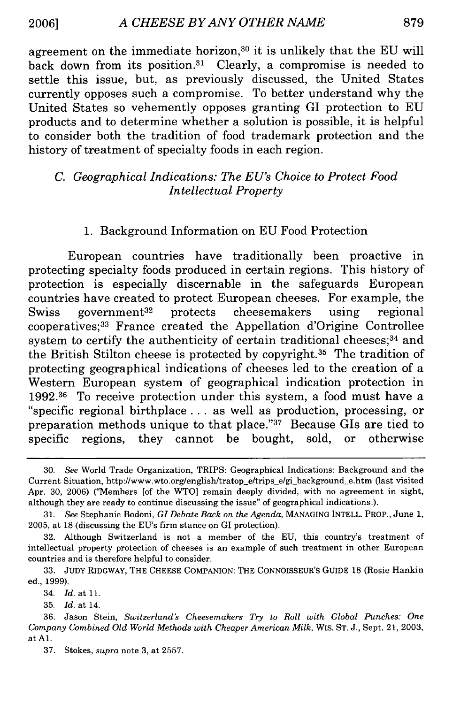agreement on the immediate horizon, 30 it is unlikely that the EU will back down from its position.31 Clearly, a compromise is needed to settle this issue, but, as previously discussed, the United States currently opposes such a compromise. To better understand why the United States so vehemently opposes granting GI protection to EU products and to determine whether a solution is possible, it is helpful to consider both the tradition of food trademark protection and the history of treatment of specialty foods in each region.

#### *C. Geographical Indications: The EU's Choice to Protect Food Intellectual Property*

#### 1. Background Information on EU Food Protection

European countries have traditionally been proactive in protecting specialty foods produced in certain regions. This history of protection is especially discernable in the safeguards European countries have created to protect European cheeses. For example, the Swiss government<sup>32</sup> protects cheesemakers using regional cooperatives; 33 France created the Appellation d'Origine Controllee system to certify the authenticity of certain traditional cheeses;<sup>34</sup> and the British Stilton cheese is protected by copyright. 35 The tradition of protecting geographical indications of cheeses led to the creation of a Western European system of geographical indication protection in 1992.36 To receive protection under this system, a food must have a "specific regional birthplace.., as well as production, processing, or preparation methods unique to that place."37 Because GIs are tied to specific regions, they cannot be bought, sold, or otherwise

35. *Id.* at 14.

37. Stokes, *supra* note 3, at 2557.

<sup>30.</sup> See World Trade Organization, TRIPS: Geographical Indications: Background and the Current Situation, http://www.wto.org/english/tratop\_e/trips\_e/gi\_background\_e.htm (last visited Apr. 30, 2006) ('Members [of the WTO] remain deeply divided, with no agreement in sight, although they are ready to continue discussing the issue" of geographical indications.).

<sup>31.</sup> See Stephanie Bodoni, *GI* Debate Back *on the Agenda,* MANAGING INTELL. PROP., June 1, 2005, at **18** (discussing the EU's firm stance on GI protection).

<sup>32.</sup> Although Switzerland is not a member of the EU, this country's treatment of intellectual property protection of cheeses is an example of such treatment in other European countries and is therefore helpful to consider.

<sup>33.</sup> JUDY RIDGWAY, THE CHEESE COMPANION: THE CONNOISSEUR'S GUIDE **18** (Rosie Hankin ed., 1999).

<sup>34.</sup> *Id.* at 11.

<sup>36.</sup> Jason Stein, *Switzerland's Cheesemakers Try to Roll with Global Punches: One Company Combined Old World Methods with Cheaper American Milk,* WIS. ST. J., Sept. 21, 2003, at **Al.**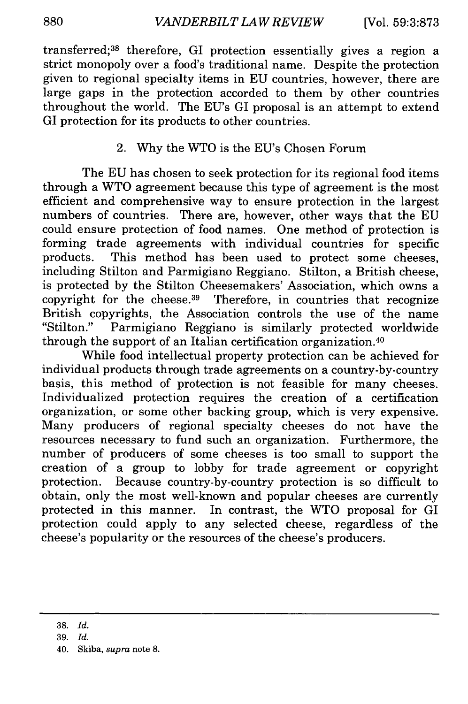transferred; 38 therefore, GI protection essentially gives a region a strict monopoly over a food's traditional name. Despite the protection given to regional specialty items in EU countries, however, there are large gaps in the protection accorded to them by other countries throughout the world. The EU's GI proposal is an attempt to extend GI protection for its products to other countries.

#### 2. Why the WTO is the EU's Chosen Forum

The EU has chosen to seek protection for its regional food items through a WTO agreement because this type of agreement is the most efficient and comprehensive way to ensure protection in the largest numbers of countries. There are, however, other ways that the EU could ensure protection of food names. One method of protection is forming trade agreements with individual countries for specific products. This method has been used to protect some cheeses, including Stilton and Parmigiano Reggiano. Stilton, a British cheese, is protected by the Stilton Cheesemakers' Association, which owns a copyright for the cheese.<sup>39</sup> Therefore, in countries that recognize British copyrights, the Association controls the use of the name "Stilton." Parmigiano Reggiano is similarly protected worldwide through the support of an Italian certification organization. <sup>40</sup>

While food intellectual property protection can be achieved for individual products through trade agreements on a country-by-country basis, this method of protection is not feasible for many cheeses. Individualized protection requires the creation of a certification organization, or some other backing group, which is very expensive. Many producers of regional specialty cheeses do not have the resources necessary to fund such an organization. Furthermore, the number of producers of some cheeses is too small to support the creation of a group to lobby for trade agreement or copyright protection. Because country-by-country protection is so difficult to obtain, only the most well-known and popular cheeses are currently protected in this manner. In contrast, the WTO proposal for GI protection could apply to any selected cheese, regardless of the cheese's popularity or the resources of the cheese's producers.

**<sup>38.</sup>** *Id.*

**<sup>39.</sup>** *Id.*

<sup>40.</sup> Skiba, *supra* note **8.**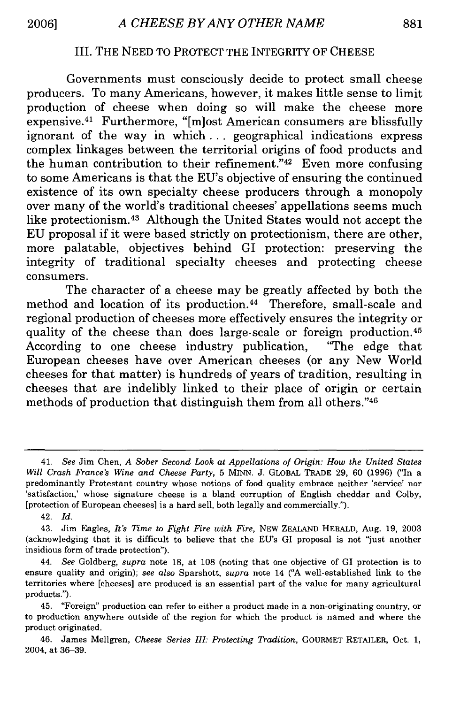#### III. THE NEED TO PROTECT THE INTEGRITY OF CHEESE

Governments must consciously decide to protect small cheese producers. To many Americans, however, it makes little sense to limit production of cheese when doing so will make the cheese more expensive.<sup>41</sup> Furthermore, "[m]ost American consumers are blissfully ignorant of the way in which... geographical indications express complex linkages between the territorial origins of food products and the human contribution to their refinement." $42$  Even more confusing to some Americans is that the EU's objective of ensuring the continued existence of its own specialty cheese producers through a monopoly over many of the world's traditional cheeses' appellations seems much like protectionism. 43 Although the United States would not accept the EU proposal if it were based strictly on protectionism, there are other, more palatable, objectives behind GI protection: preserving the integrity of traditional specialty cheeses and protecting cheese consumers.

The character of a cheese may be greatly affected by both the method and location of its production. 44 Therefore, small-scale and regional production of cheeses more effectively ensures the integrity or quality of the cheese than does large-scale or foreign production. <sup>45</sup> According to one cheese industry publication, "The edge that European cheeses have over American cheeses (or any New World cheeses for that matter) is hundreds of years of tradition, resulting in cheeses that are indelibly linked to their place of origin or certain methods of production that distinguish them from all others."46

<sup>41.</sup> *See* Jim Chen, *A Sober Second Look at Appellations of Origin: How the United States Will Crash France's Wine and Cheese Party,* 5 MINN. J. GLOBAL TRADE 29, 60 (1996) ("In a predominantly Protestant country whose notions of food quality embrace neither 'service' nor 'satisfaction,' whose signature cheese is a bland corruption of English cheddar and Colby, [protection of European cheeses] is a hard sell, both legally and commercially.").

<sup>42.</sup> *Id.*

<sup>43.</sup> Jim Eagles, *It's Time to Fight Fire with Fire,* NEW ZEALAND HERALD, Aug. 19, 2003 (acknowledging that it is difficult to believe that the EU's GI proposal is not "just another insidious form of trade protection").

<sup>44.</sup> *See* Goldberg, *supra* note **18,** at 108 (noting that one objective of GI protection is to ensure quality and origin); *see also* Sparshott, *supra* note 14 ("A well-established link to the territories where [cheeses] are produced is an essential part of the value for many agricultural products.").

<sup>45. &</sup>quot;Foreign" production can refer to either a product made in a non-originating country, or to production anywhere outside of the region for which the product is named and where the product originated.

<sup>46.</sup> James Mellgren, *Cheese Series III: Protecting Tradition,* GOURMET RETAILER, Oct. 1, 2004, at 36-39.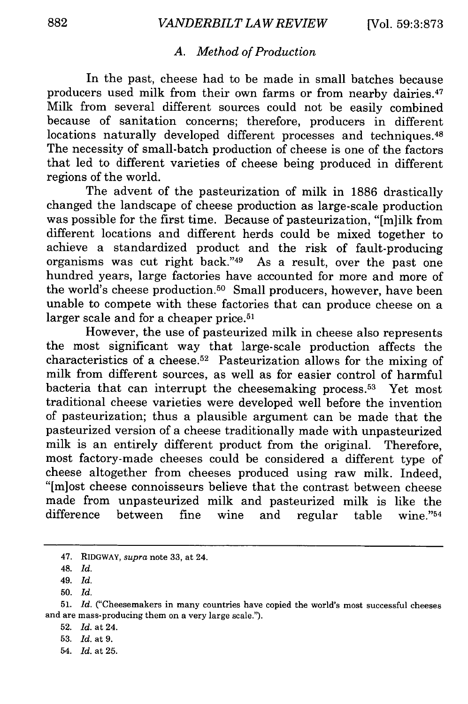#### *A. Method of Production*

In the past, cheese had to be made in small batches because producers used milk from their own farms or from nearby dairies.<sup>47</sup> Milk from several different sources could not be easily combined because of sanitation concerns; therefore, producers in different locations naturally developed different processes and techniques.<sup>48</sup> The necessity of small-batch production of cheese is one of the factors that led to different varieties of cheese being produced in different regions of the world.

The advent of the pasteurization of milk in 1886 drastically changed the landscape of cheese production as large-scale production was possible for the first time. Because of pasteurization, "[m]ilk from different locations and different herds could be mixed together to achieve a standardized product and the risk of fault-producing organisms was cut right back."49 As a result, over the past one hundred years, large factories have accounted for more and more of the world's cheese production.<sup>50</sup> Small producers, however, have been unable to compete with these factories that can produce cheese on a larger scale and for a cheaper price.<sup>51</sup>

However, the use of pasteurized milk in cheese also represents the most significant way that large-scale production affects the characteristics of a cheese.<sup>52</sup> Pasteurization allows for the mixing of milk from different sources, as well as for easier control of harmful bacteria that can interrupt the cheesemaking process.<sup>53</sup> Yet most traditional cheese varieties were developed well before the invention of pasteurization; thus a plausible argument can be made that the pasteurized version of a cheese traditionally made with unpasteurized milk is an entirely different product from the original. Therefore, most factory-made cheeses could be considered a different type of cheese altogether from cheeses produced using raw milk. Indeed, "[miost cheese connoisseurs believe that the contrast between cheese made from unpasteurized milk and pasteurized milk is like the difference between fine wine and regular table wine."<sup>54</sup>

50. *Id.*

<sup>47.</sup> RIDGWAY, *supra* note 33, at 24.

<sup>48.</sup> *Id.*

<sup>49.</sup> *Id.*

<sup>51.</sup> *Id.* ("Cheesemakers in many countries have copied the world's most successful cheeses and are mass-producing them on a very large scale.").

<sup>52.</sup> *Id.* at 24.

<sup>53.</sup> *Id.* at 9.

<sup>54.</sup> *Id.* at 25.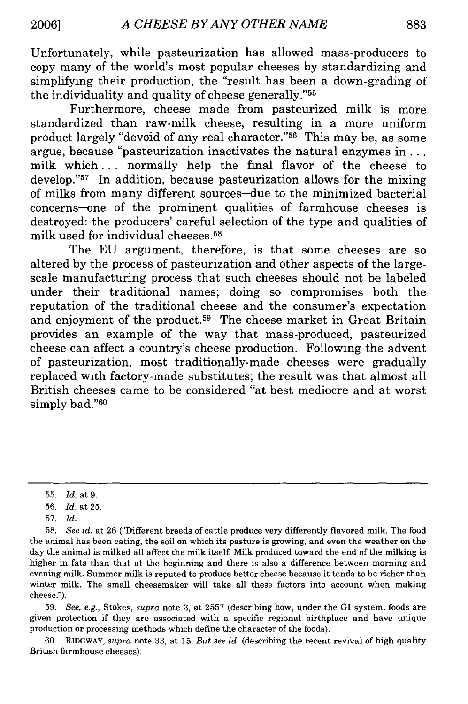Unfortunately, while pasteurization has allowed mass-producers to copy many of the world's most popular cheeses by standardizing and simplifying their production, the "result has been a down-grading of the individuality and quality of cheese generally."<sup>55</sup>

Furthermore, cheese made from pasteurized milk is more standardized than raw-milk cheese, resulting in a more uniform product largely "devoid of any real character."56 This may be, as some argue, because "pasteurization inactivates the natural enzymes in... milk which **...** normally help the final flavor of the cheese to develop." $57$  In addition, because pasteurization allows for the mixing of milks from many different sources-due to the minimized bacterial concerns--one of the prominent qualities of farmhouse cheeses is destroyed: the producers' careful selection of the type and qualities of milk used for individual cheeses.58

The EU argument, therefore, is that some cheeses are so altered by the process of pasteurization and other aspects of the largescale manufacturing process that such cheeses should not be labeled under their traditional names; doing so compromises both the reputation of the traditional cheese and the consumer's expectation and enjoyment of the product.<sup>59</sup> The cheese market in Great Britain provides an example of the way that mass-produced, pasteurized cheese can affect a country's cheese production. Following the advent of pasteurization, most traditionally-made cheeses were gradually replaced with factory-made substitutes; the result was that almost all British cheeses came to be considered "at best mediocre and at worst simply bad."<sup>60</sup>

59. *See, e.g.,* Stokes, *supra* note 3, at 2557 (describing how, under the GI system, foods are given protection if they are associated with a specific regional birthplace and have unique production or processing methods which define the character of the foods).

60. RIDGWAY, *supra* note 33, at 15. *But see id.* (describing the recent revival of high quality British farmhouse cheeses).

<sup>55.</sup> *Id.* at 9.

<sup>56.</sup> *Id.* at 25.

<sup>57.</sup> *Id.*

<sup>58.</sup> *See id.* at 26 ("Different breeds of cattle produce very differently flavored milk. The food the animal has been eating, the soil on which its pasture is growing, and even the weather on the day the animal is milked all affect the milk itself. Milk produced toward the end of the milking is higher in fats than that at the beginning and there is also a difference between morning and evening milk. Summer milk is reputed to produce better cheese because it tends to be richer than winter milk. The small cheesemaker will take all these factors into account when making cheese.").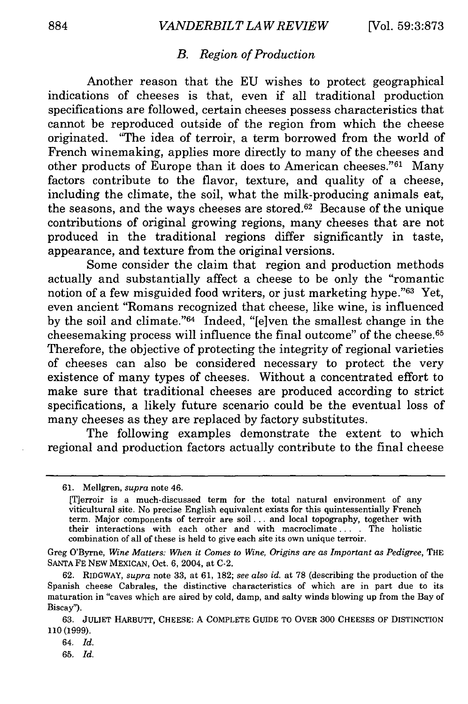#### *B. Region of Production*

Another reason that the EU wishes to protect geographical indications of cheeses is that, even if all traditional production specifications are followed, certain cheeses possess characteristics that cannot be reproduced outside of the region from which the cheese originated. "The idea of terroir, a term borrowed from the world of French winemaking, applies more directly to many of the cheeses and other products of Europe than it does to American cheeses."<sup>61</sup> Many factors contribute to the flavor, texture, and quality of a cheese, including the climate, the soil, what the milk-producing animals eat, the seasons, and the ways cheeses are stored.62 Because of the unique contributions of original growing regions, many cheeses that are not produced in the traditional regions differ significantly in taste, appearance, and texture from the original versions.

Some consider the claim that region and production methods actually and substantially affect a cheese to be only the "romantic notion of a few misguided food writers, or just marketing hype."63 Yet, even ancient "Romans recognized that cheese, like wine, is influenced by the soil and climate."64 Indeed, "[e]ven the smallest change in the cheesemaking process will influence the final outcome" of the cheese. <sup>65</sup> Therefore, the objective of protecting the integrity of regional varieties of cheeses can also be considered necessary to protect the very existence of many types of cheeses. Without a concentrated effort to make sure that traditional cheeses are produced according to strict specifications, a likely future scenario could be the eventual loss of many cheeses as they are replaced by factory substitutes.

The following examples demonstrate the extent to which regional and production factors actually contribute to the final cheese

Greg O'Byrne, *Wine Matters: When it Comes to Wine, Origins are as Important as Pedigree,* THE **SANTA** FE NEW MEXICAN, Oct. 6, 2004, at C-2.

<sup>61.</sup> Mellgren, *supra* note 46.

<sup>[</sup>Terroir is a much-discussed term for the total natural environment of any viticultural site. No precise English equivalent exists for this quintessentially French term. Major components of terroir are soil.., and local topography, together with their interactions with each other and with macroclimate. . . The holistic combination of all of these is held to give each site its own unique terroir.

<sup>62.</sup> RIDGWAY, *supra* note 33, at 61, 182; *see also id.* at 78 (describing the production of the Spanish cheese Cabrales, the distinctive characteristics of which are in part due to its maturation in "caves which are aired by cold, damp, and salty winds blowing up from the Bay of Biscay").

**<sup>63.</sup>** JULIET HARBUTT, CHEESE: A COMPLETE GUIDE TO OVER **300** CHEESES OF DISTINCTION 110(1999).

<sup>64.</sup> *Id.*

<sup>65.</sup> *Id.*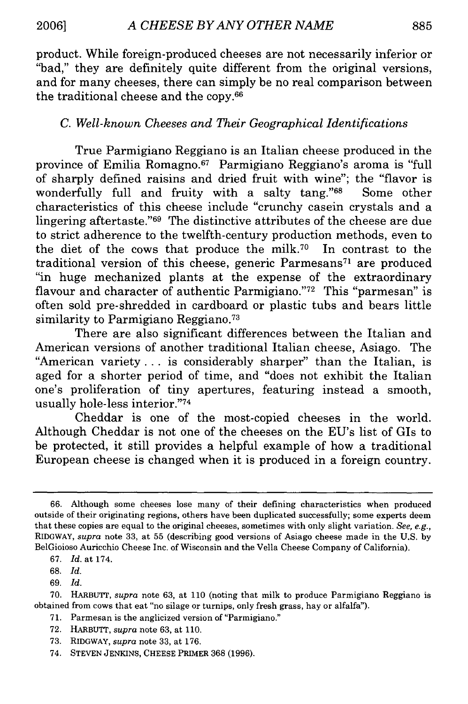product. While foreign-produced cheeses are not necessarily inferior or "bad," they are definitely quite different from the original versions, and for many cheeses, there can simply be no real comparison between the traditional cheese and the copy. <sup>66</sup>

#### *C. Well-known Cheeses and Their Geographical Identifications*

True Parmigiano Reggiano is an Italian cheese produced in the province of Emilia Romagno.<sup>67</sup> Parmigiano Reggiano's aroma is "full of sharply defined raisins and dried fruit with wine"; the "flavor is wonderfully full and fruity with a salty tang."<sup>68</sup> Some other characteristics of this cheese include "crunchy casein crystals and a lingering aftertaste."69 The distinctive attributes of the cheese are due to strict adherence to the twelfth-century production methods, even to the diet of the cows that produce the milk.70 In contrast to the traditional version of this cheese, generic Parmesans<sup>71</sup> are produced "in huge mechanized plants at the expense of the extraordinary flavour and character of authentic Parmigiano."<sup>72</sup> This "parmesan" is often sold pre-shredded in cardboard or plastic tubs and bears little similarity to Parmigiano Reggiano.<sup>73</sup>

There are also significant differences between the Italian and American versions of another traditional Italian cheese, Asiago. The "American variety **...** is considerably sharper" than the Italian, is aged for a shorter period of time, and "does not exhibit the Italian one's proliferation of tiny apertures, featuring instead a smooth, usually hole-less interior."74

Cheddar is one of the most-copied cheeses in the world. Although Cheddar is not one of the cheeses on the EU's list of GIs to be protected, it still provides a helpful example of how a traditional European cheese is changed when it is produced in a foreign country.

69. *Id.*

- 71. Parmesan is the anglicized version of"Parmigiano."
- 72. HARBUTT, *supra* note 63, at 110.
- 73. RIDGWAY, *supra* note 33, at 176.
- 74. STEVEN JENKINS, CHEESE PRIMER 368 (1996).

<sup>66.</sup> Although some cheeses lose many of their defining characteristics when produced outside of their originating regions, others have been duplicated successfully; some experts deem that these copies are equal to the original cheeses, sometimes with only slight variation. *See, e.g.,* RIDGWAY, *supra* note 33, at 55 (describing good versions of Asiago cheese made in the U.S. by BelGioioso Auricchio Cheese Inc. of Wisconsin and the Vella Cheese Company of California).

<sup>67.</sup> *Id.* at 174.

<sup>68.</sup> *Id.*

<sup>70.</sup> HARBUTT, *supra* note 63, at 110 (noting that milk to produce Parmigiano Reggiano is obtained from cows that eat "no silage or turnips, only fresh grass, hay or alfalfa").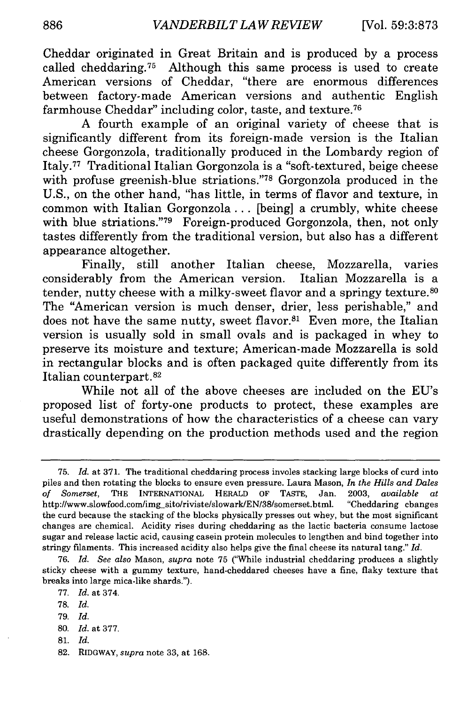Cheddar originated in Great Britain and is produced by a process called cheddaring.<sup>75</sup> Although this same process is used to create American versions of Cheddar, "there are enormous differences between factory-made American versions and authentic English farmhouse Cheddar" including color, taste, and texture. <sup>76</sup>

A fourth example of an original variety of cheese that is significantly different from its foreign-made version is the Italian cheese Gorgonzola, traditionally produced in the Lombardy region of Italy.77 Traditional Italian Gorgonzola is a "soft-textured, beige cheese with profuse greenish-blue striations."78 Gorgonzola produced in the U.S., on the other hand, "has little, in terms of flavor and texture, in common with Italian Gorgonzola... [being] a crumbly, white cheese with blue striations."<sup>79</sup> Foreign-produced Gorgonzola, then, not only tastes differently from the traditional version, but also has a different appearance altogether.

Finally, still another Italian cheese, Mozzarella, varies considerably from the American version. Italian Mozzarella is a tender, nutty cheese with a milky-sweet flavor and a springy texture.<sup>80</sup> The "American version is much denser, drier, less perishable," and does not have the same nutty, sweet flavor.<sup>81</sup> Even more, the Italian version is usually sold in small ovals and is packaged in whey to preserve its moisture and texture; American-made Mozzarella is sold in rectangular blocks and is often packaged quite differently from its Italian counterpart.<sup>82</sup>

While not all of the above cheeses are included on the EU's proposed list of forty-one products to protect, these examples are useful demonstrations of how the characteristics of a cheese can vary drastically depending on the production methods used and the region

79. *Id.*

81. *Id.*

<sup>75.</sup> *Id.* at 371. The traditional cheddaring process involes stacking large blocks of curd into piles and then rotating the blocks to ensure even pressure. Laura Mason, *In the Hills and Dales of Somerset,* THE INTERNATIONAL HERALD OF TASTE, Jan. 2003, *available at* http://www.slowfood.com/img\_sito/riviste/slowark/EN/38/somerset.html. "Cheddaring changes the curd because the stacking of the blocks physically presses out whey, but the most significant changes are chemical. Acidity rises during cheddaring as the lactic bacteria consume lactose sugar and release lactic acid, causing casein protein molecules to lengthen and bind together into stringy filaments. This increased acidity also helps give the final cheese its natural tang." *Id.*

<sup>76.</sup> *Id. See also* Mason, *supra* note 75 ("While industrial cheddaring produces a slightly sticky cheese with a gummy texture, hand-cheddared cheeses have a fine, flaky texture that breaks into large mica-like shards.").

<sup>77.</sup> *Id.* at 374.

<sup>78.</sup> *Id.*

<sup>80.</sup> *Id.* at 377.

<sup>82.</sup> RIDGWAY, *supra* note 33, at 168.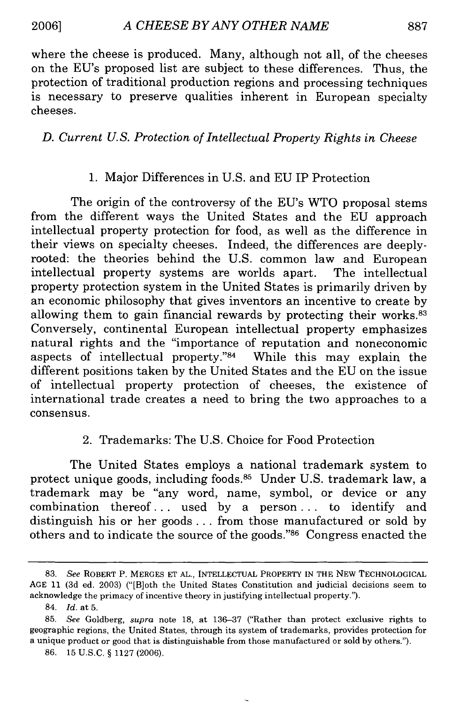**2006]**

887

where the cheese is produced. Many, although not all, of the cheeses on the EU's proposed list are subject to these differences. Thus, the protection of traditional production regions and processing techniques is necessary to preserve qualities inherent in European specialty cheeses.

#### *D. Current U.S. Protection of Intellectual Property Rights in Cheese*

#### 1. Major Differences in U.S. and EU IP Protection

The origin of the controversy of the EU's WTO proposal stems from the different ways the United States and the EU approach intellectual property protection for food, as well as the difference in their views on specialty cheeses. Indeed, the differences are deeplyrooted: the theories behind the U.S. common law and European intellectual property systems are worlds apart. The intellectual property protection system in the United States is primarily driven by an economic philosophy that gives inventors an incentive to create by allowing them to gain financial rewards by protecting their works.<sup>83</sup> Conversely, continental European intellectual property emphasizes natural rights and the "importance of reputation and noneconomic aspects of intellectual property." $84$  While this may explain the different positions taken by the United States and the EU on the issue of intellectual property protection of cheeses, the existence of international trade creates a need to bring the two approaches to a consensus.

#### 2. Trademarks: The U.S. Choice for Food Protection

The United States employs a national trademark system to protect unique goods, including foods.<sup>85</sup> Under U.S. trademark law, a trademark may be "any word, name, symbol, or device or any combination thereof... used by a person **...** to identify and distinguish his or her goods... from those manufactured or sold by others and to indicate the source of the goods."<sup>86</sup> Congress enacted the

<sup>83.</sup> *See* ROBERT P. MERGES **ET** AL., **INTELLECTUAL** PROPERTY IN THE NEW **TECHNOLOGICAL** AGE 11 (3d ed. 2003) ("[B]oth the United States Constitution and judicial decisions seem to acknowledge the primacy of incentive theory in justifying intellectual property.").

<sup>84.</sup> *Id.* at 5.

<sup>85.</sup> *See* Goldberg, *supra* note 18, at 136-37 ("Rather than protect exclusive rights to geographic regions, the United States, through its system of trademarks, provides protection for a unique product or good that is distinguishable from those manufactured or sold by others.").

<sup>86. 15</sup> U.S.C. § 1127 (2006).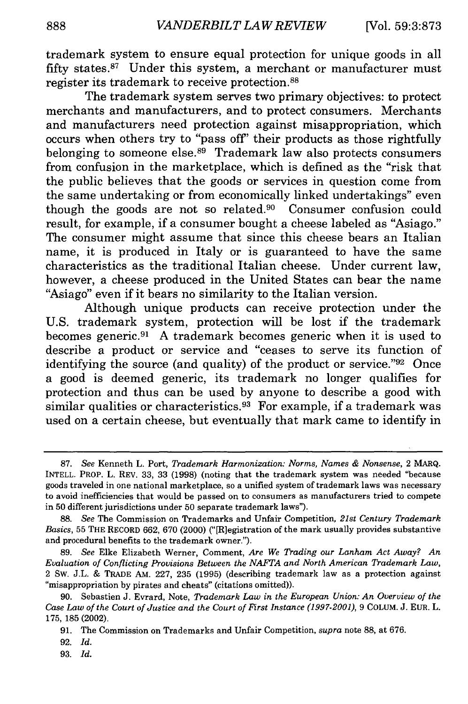trademark system to ensure equal protection for unique goods in all fifty states.87 Under this system, a merchant or manufacturer must register its trademark to receive protection.88

The trademark system serves two primary objectives: to protect merchants and manufacturers, and to protect consumers. Merchants and manufacturers need protection against misappropriation, which occurs when others try to "pass off' their products as those rightfully belonging to someone else.<sup>89</sup> Trademark law also protects consumers from confusion in the marketplace, which is defined as the "risk that the public believes that the goods or services in question come from the same undertaking or from economically linked undertakings" even though the goods are not so related.<sup>90</sup> Consumer confusion could result, for example, if a consumer bought a cheese labeled as "Asiago." The consumer might assume that since this cheese bears an Italian name, it is produced in Italy or is guaranteed to have the same characteristics as the traditional Italian cheese. Under current law, however, a cheese produced in the United States can bear the name "Asiago" even if it bears no similarity to the Italian version.

Although unique products can receive protection under the U.S. trademark system, protection will be lost if the trademark becomes generic. 91 A trademark becomes generic when it is used to describe a product or service and "ceases to serve its function of identifying the source (and quality) of the product or service." 92 Once a good is deemed generic, its trademark no longer qualifies for protection and thus can be used by anyone to describe a good with similar qualities or characteristics. 93 For example, if a trademark was used on a certain cheese, but eventually that mark came to identify in

89. *See* Elke Elizabeth Werner, Comment, *Are We Trading our Lanham Act Away? An Evaluation of Conflicting Provisions Between the* **NAFTA** *and North American Trademark Law,* 2 Sw. J.L. & TRADE AM. 227, 235 (1995) (describing trademark law as a protection against "misappropriation by pirates and cheats" (citations omitted)).

92. *Id.*

<sup>87.</sup> *See* Kenneth L. Port, *Trademark Harmonization: Norms, Names & Nonsense,* 2 *MARQ.* INTELL. PROP. L. REv. 33, 33 (1998) (noting that the trademark system was needed "because goods traveled in one national marketplace, so a unified system of trademark laws was necessary to avoid inefficiencies that would be passed on to consumers as manufacturers tried to compete in 50 different jurisdictions under 50 separate trademark laws").

<sup>88.</sup> *See* The Commission on Trademarks and Unfair Competition, *21st Century Trademark Basics,* 55 THE RECORD 662, 670 (2000) ("[R]egistration of the mark usually provides substantive and procedural benefits to the trademark owner.").

<sup>90.</sup> Sebastien J. Evrard, Note, *Trademark Law in the European Union: An Overview of the Case Law of the Court of Justice and the Court of First Instance (1997-2001),* 9 COLUM. J. EUR. L. 175, 185 (2002).

<sup>91.</sup> The Commission on Trademarks and Unfair Competition, *supra* note 88, at 676.

<sup>93.</sup> *Id.*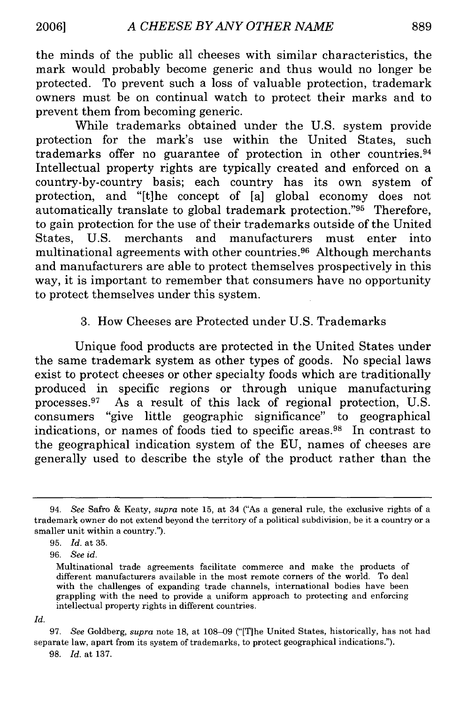the minds of the public all cheeses with similar characteristics, the mark would probably become generic and thus would no longer be protected. To prevent such a loss of valuable protection, trademark owners must be on continual watch to protect their marks and to prevent them from becoming generic.

While trademarks obtained under the U.S. system provide protection for the mark's use within the United States, such trademarks offer no guarantee of protection in other countries. <sup>94</sup> Intellectual property rights are typically created and enforced on a country-by-country basis; each country has its own system of protection, and "[t]he concept of [a] global economy does not automatically translate to global trademark protection."95 Therefore, to gain protection for the use of their trademarks outside of the United States, U.S. merchants and manufacturers must enter into multinational agreements with other countries. 96 Although merchants and manufacturers are able to protect themselves prospectively in this way, it is important to remember that consumers have no opportunity to protect themselves under this system.

#### 3. How Cheeses are Protected under U.S. Trademarks

Unique food products are protected in the United States under the same trademark system as other types of goods. No special laws exist to protect cheeses or other specialty foods which are traditionally produced in specific regions or through unique manufacturing processes. 97 As a result of this lack of regional protection, U.S. consumers "give little geographic significance" to geographical indications, or names of foods tied to specific areas.98 In contrast to the geographical indication system of the EU, names of cheeses are generally used to describe the style of the product rather than the

<sup>94.</sup> *See* Safro & Keaty, *supra* note 15, at 34 ("As a general rule, the exclusive rights of a trademark owner do not extend beyond the territory of a political subdivision, be it a country or a smaller unit within a country.").

<sup>95.</sup> *Id.* at 35.

<sup>96.</sup> *See id.*

Multinational trade agreements facilitate commerce and make the products of different manufacturers available in the most remote corners of the world. To deal with the challenges of expanding trade channels, international bodies have been grappling with the need to provide a uniform approach to protecting and enforcing intellectual property rights in different countries.

*Id.*

<sup>97.</sup> *See* Goldberg, *supra* note 18, at 108-09 ("[The United States, historically, has not had separate law, apart from its system of trademarks, to protect geographical indications.").

<sup>98.</sup> *Id.* at 137.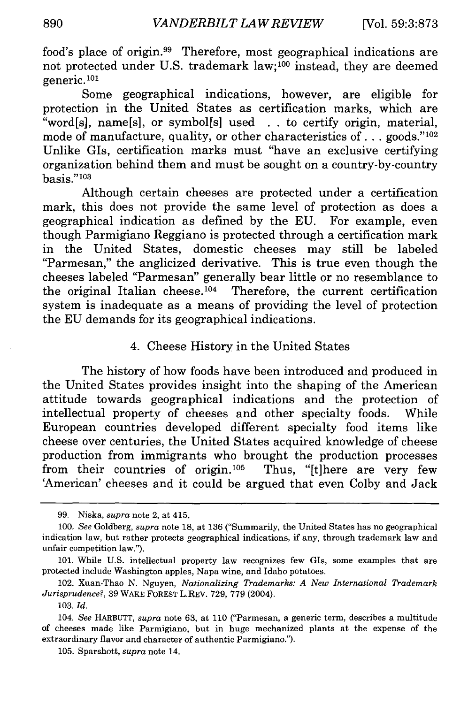food's place of origin. 99 Therefore, most geographical indications are not protected under U.S. trademark law;100 instead, they are deemed generic.101

Some geographical indications, however, are eligible for protection in the United States as certification marks, which are "word[s], name[s], or symbol[s] used . . to certify origin, material, mode of manufacture, quality, or other characteristics of . . . goods."<sup>102</sup> Unlike GIs, certification marks must "have an exclusive certifying organization behind them and must be sought on a country-by-country basis."<sup>103</sup>

Although certain cheeses are protected under a certification mark, this does not provide the same level of protection as does a geographical indication as defined by the EU. For example, even though Parmigiano Reggiano is protected through a certification mark in the United States, domestic cheeses may still be labeled "Parmesan," the anglicized derivative. This is true even though the cheeses labeled "Parmesan" generally bear little or no resemblance to the original Italian cheese.<sup>104</sup> Therefore, the current certification system is inadequate as a means of providing the level of protection the EU demands for its geographical indications.

#### 4. Cheese History in the United States

The history of how foods have been introduced and produced in the United States provides insight into the shaping of the American attitude towards geographical indications and the protection of intellectual property of cheeses and other specialty foods. While European countries developed different specialty food items like cheese over centuries, the United States acquired knowledge of cheese production from immigrants who brought the production processes from their countries of origin.<sup>105</sup> Thus, "[t]here are very few 'American' cheeses and it could be argued that even Colby and Jack

<sup>99.</sup> Niska, *supra* note 2, at 415.

<sup>100.</sup> *See* Goldberg, *supra* note 18, at 136 ("Summarily, the United States has no geographical indication law, but rather protects geographical indications, if any, through trademark law and unfair competition law.").

<sup>101,</sup> While U.S. intellectual property law recognizes few GIs, some examples that are protected include Washington apples, Napa wine, and Idaho potatoes.

<sup>102.</sup> Xuan-Thao N. Nguyen, *Nationalizing Trademarks: A New International Trademark Jurisprudence?,* 39 WAKE FOREST L.REV. 729, 779 (2004).

<sup>103.</sup> *Id.*

<sup>104.</sup> *See* HARBUTT, *supra* note 63, at 110 ("Parmesan, a generic term, describes a multitude of cheeses made like Parmigiano, but in huge mechanized plants at the expense of the extraordinary flavor and character of authentic Parmigiano.").

<sup>105.</sup> Sparshott, *supra* note 14.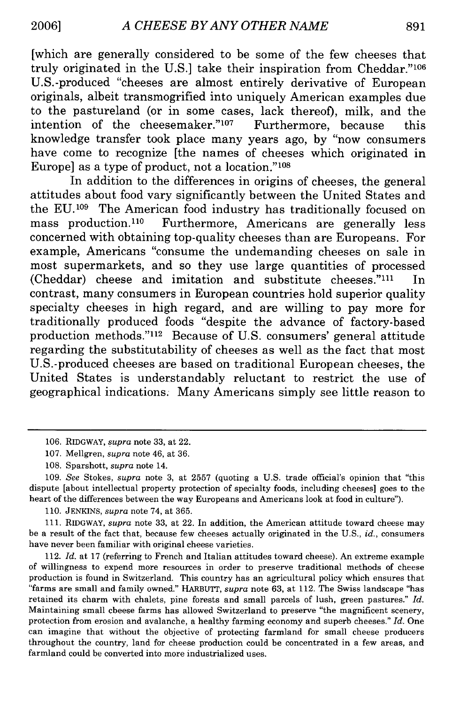[which are generally considered to be some of the few cheeses that truly originated in the U.S.] take their inspiration from Cheddar."<sup>106</sup> U.S.-produced "cheeses are almost entirely derivative of European originals, albeit transmogrified into uniquely American examples due to the pastureland (or in some cases, lack thereof), milk, and the intention of the cheesemaker."107 Furthermore, because this knowledge transfer took place many years ago, **by** "now consumers have come to recognize [the names of cheeses which originated in Europe] as a type of product, not a location."'<sup>08</sup>

In addition to the differences in origins of cheeses, the general attitudes about food vary significantly between the United States and the **EU.'<sup>0</sup> <sup>9</sup>**The American food industry has traditionally focused on mass production. 110 Furthermore, Americans are generally less concerned with obtaining top-quality cheeses than are Europeans. For example, Americans "consume the undemanding cheeses on sale in most supermarkets, and so they use large quantities of processed (Cheddar) cheese and imitation and substitute cheeses." $^{111}$  In contrast, many consumers in European countries hold superior quality specialty cheeses in high regard, and are willing to pay more for traditionally produced foods "despite the advance of factory-based production methods."<sup>112</sup> Because of U.S. consumers' general attitude regarding the substitutability of cheeses as well as the fact that most U.S.-produced cheeses are based on traditional European cheeses, the United States is understandably reluctant to restrict the use of geographical indications. Many Americans simply see little reason to

**109.** *See* Stokes, *supra* note **3,** at **2557** (quoting a **U.S.** trade official's opinion that "this dispute [about intellectual property protection of specialty foods, including cheeses] goes to the heart of the differences between the way Europeans and Americans look at food in culture").

**110. JENKINS,** *supra* note 74, at **365.**

**111.** RIDGWAY, *supra* note **33,** at 22. In addition, the American attitude toward cheese may be a result of the fact that, because few cheeses actually originated in the **U.S.,** *id.,* consumers have never been familiar with original cheese varieties.

112. *Id.* at **17** (referring to French and Italian attitudes toward cheese). An extreme example of willingness to expend more resources in order to preserve traditional methods of cheese production is found in Switzerland. This country has an agricultural policy which ensures that "farms are small and family owned." HARBUrTT, *supra* note **63,** at 112. The Swiss landscape "has retained its charm with chalets, pine forests and small parcels of lush, green pastures." *Id.* Maintaining small cheese farms has allowed Switzerland to preserve "the magnificent scenery, protection from erosion and avalanche, a healthy farming economy and superb cheeses." *Id.* One can imagine that without the objective of protecting farmland for small cheese producers throughout the country, land for cheese production could be concentrated in a few areas, and farmland could be converted into more industrialized uses.

**<sup>106.</sup>** RIDGWAY, *supra* note **33,** at 22.

**<sup>107.</sup>** Mellgren, *supra* note 46, at **36.**

**<sup>108.</sup>** Sparshott, *supra* note 14.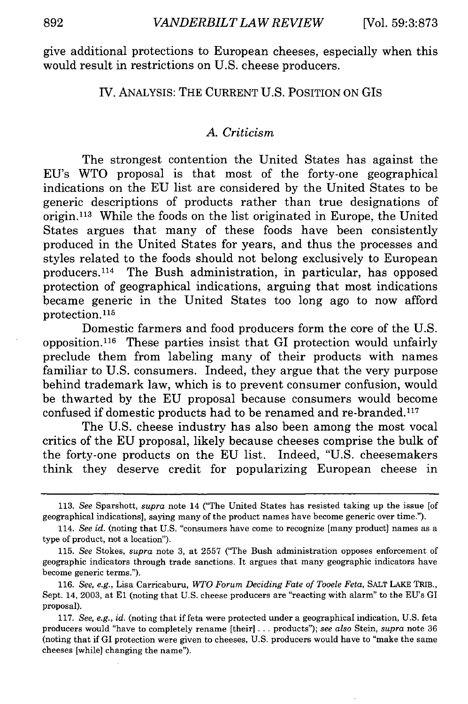give additional protections to European cheeses, especially when this would result in restrictions on U.S. cheese producers.

#### IV. ANALYSIS: THE CURRENT U.S. POSITION ON GIs

#### *A. Criticism*

The strongest contention the United States has against the EU's WTO proposal is that most of the forty-one geographical indications on the EU list are considered by the United States to be generic descriptions of products rather than true designations of origin.113 While the foods on the list originated in Europe, the United States argues that many of these foods have been consistently produced in the United States for years, and thus the processes and styles related to the foods should not belong exclusively to European producers.114 The Bush administration, in particular, has opposed protection of geographical indications, arguing that most indications became generic in the United States too long ago to now afford protection. **<sup>115</sup>**

Domestic farmers and food producers form the core of the U.S. opposition.<sup>116</sup> These parties insist that GI protection would unfairly preclude them from labeling many of their products with names familiar to U.S. consumers. Indeed, they argue that the very purpose behind trademark law, which is to prevent consumer confusion, would be thwarted by the EU proposal because consumers would become confused if domestic products had to be renamed and re-branded.<sup>117</sup>

The U.S. cheese industry has also been among the most vocal critics of the EU proposal, likely because cheeses comprise the bulk of the forty-one products on the EU list. Indeed, "U.S. cheesemakers think they deserve credit for popularizing European cheese in

<sup>113.</sup> *See* Sparshott, *supra* note 14 ("The United States has resisted taking up the issue [of geographical indications], saying many of the product names have become generic over time.").

<sup>114.</sup> *See id.* (noting that U.S. "consumers have come to recognize [many product] names as a type of product, not a location").

<sup>115.</sup> *See* Stokes, *supra* note 3, at 2557 ("The Bush administration opposes enforcement of geographic indicators through trade sanctions. It argues that many geographic indicators have become generic terms.").

<sup>116.</sup> *See, e.g.,* Lisa Carricaburu, *WTO Forum Deciding Fate of Tooele Feta,* SALT LAKE TRIB., Sept. 14, 2003, at **El** (noting that U.S. cheese producers are "reacting with alarm" to the EU's GI proposal).

<sup>117.</sup> *See, e.g., id.* (noting that if feta were protected under a geographical indication, U.S. feta producers would "have to completely rename [their] ... products"); *see also* Stein, *supra* note 36 (noting that if GI protection were given to cheeses, U.S. producers would have to "make the same cheeses [while] changing the name").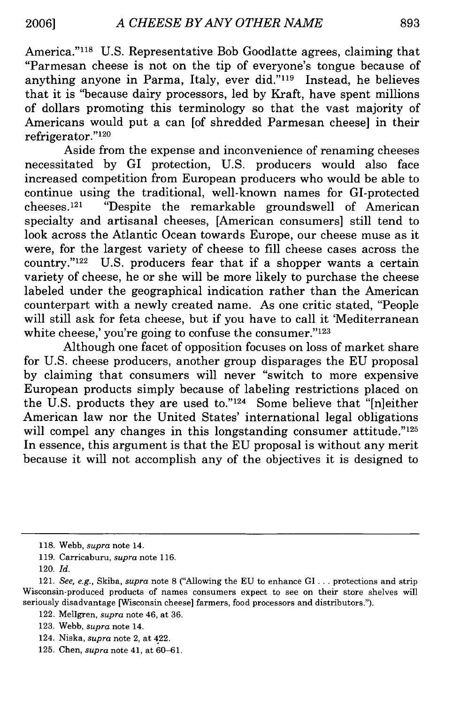America."<sup>118</sup> U.S. Representative Bob Goodlatte agrees, claiming that "Parmesan cheese is not on the tip of everyone's tongue because of anything anyone in Parma, Italy, ever did."'119 Instead, he believes that it is "because dairy processors, led by Kraft, have spent millions of dollars promoting this terminology so that the vast majority of Americans would put a can [of shredded Parmesan cheese] in their refrigerator."<sup>120</sup>

Aside from the expense and inconvenience of renaming cheeses necessitated by GI protection, U.S. producers would also face increased competition from European producers who would be able to continue using the traditional, well-known names for GI-protected cheeses. 121 "Despite the remarkable groundswell of American specialty and artisanal cheeses, [American consumers] still tend to look across the Atlantic Ocean towards Europe, our cheese muse as it were, for the largest variety of cheese to fill cheese cases across the country."'122 U.S. producers fear that if a shopper wants a certain variety of cheese, he or she will be more likely to purchase the cheese labeled under the geographical indication rather than the American counterpart with a newly created name. As one critic stated, "People will still ask for feta cheese, but if you have to call it 'Mediterranean white cheese,' you're going to confuse the consumer." $123$ 

Although one facet of opposition focuses on loss of market share for U.S. cheese producers, another group disparages the EU proposal by claiming that consumers will never "switch to more expensive European products simply because of labeling restrictions placed on the U.S. products they are used to."<sup>124</sup> Some believe that "[n]either American law nor the United States' international legal obligations will compel any changes in this longstanding consumer attitude." $125$ In essence, this argument is that the EU proposal is without any merit because it will not accomplish any of the objectives it is designed to

- 124. Niska, *supra* note 2, at 422.
- 125. Chen, *supra* note 41, at 60-61.

<sup>118.</sup> Webb, *supra* note 14.

<sup>119.</sup> Carricaburu, *supra* note 116.

<sup>120.</sup> *Id.*

<sup>121.</sup> *See, e.g.,* Skiba, *supra* note 8 ("Allowing the EU to enhance GI ... protections and strip Wisconsin-produced products of names consumers expect to see on their store shelves will seriously disadvantage [Wisconsin cheese] farmers, food processors and distributors.").

<sup>122.</sup> Mellgren, *supra* note 46, at 36.

<sup>123.</sup> Webb, *supra* note 14.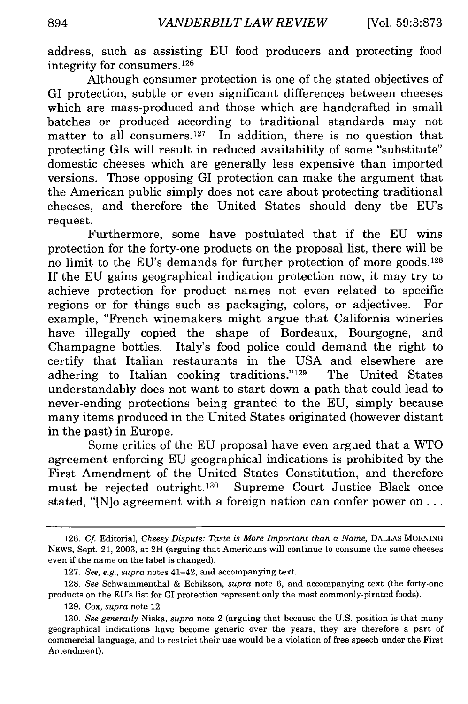address, such as assisting EU food producers and protecting food integrity for consumers. 126

Although consumer protection is one of the stated objectives of GI protection, subtle or even significant differences between cheeses which are mass-produced and those which are handcrafted in small batches or produced according to traditional standards may not matter to all consumers.<sup>127</sup> In addition, there is no question that protecting GIs will result in reduced availability of some "substitute" domestic cheeses which are generally less expensive than imported versions. Those opposing GI protection can make the argument that the American public simply does not care about protecting traditional cheeses, and therefore the United States should deny the EU's request.

Furthermore, some have postulated that if the EU wins protection for the forty-one products on the proposal list, there will be no limit to the EU's demands for further protection of more goods. <sup>128</sup> If the EU gains geographical indication protection now, it may try to achieve protection for product names not even related to specific regions or for things such as packaging, colors, or adjectives. For example, "French winemakers might argue that California wineries have illegally copied the shape of Bordeaux, Bourgogne, and Champagne bottles. Italy's food police could demand the right to certify that Italian restaurants in the USA and elsewhere are adhering to Italian cooking traditions."<sup>129</sup> The United States understandably does not want to start down a path that could lead to never-ending protections being granted to the EU, simply because many items produced in the United States originated (however distant in the past) in Europe.

Some critics of the EU proposal have even argued that a WTO agreement enforcing EU geographical indications is prohibited by the First Amendment of the United States Constitution, and therefore must be rejected outright.<sup>130</sup> Supreme Court Justice Black once stated, "[N]o agreement with a foreign nation can confer power on...

<sup>126.</sup> Cf. Editorial, *Cheesy Dispute: Taste is More Important than a Name,* DALLAS MORNING NEWS, Sept. 21, 2003, at 2H (arguing that Americans will continue to consume the same cheeses even if the name on the label is changed).

<sup>127.</sup> *See, e.g., supra* notes 41-42, and accompanying text.

<sup>128.</sup> *See* Schwammenthal & Echikson, *supra* note 6, and accompanying text (the forty-one products on the EU's list for GI protection represent only the most commonly-pirated foods).

<sup>129.</sup> Cox, *supra* note 12.

<sup>130.</sup> *See generally* Niska, *supra* note 2 (arguing that because the U.S. position is that many geographical indications have become generic over the years, they are therefore a part of commercial language, and to restrict their use would be a violation of free speech under the First Amendment).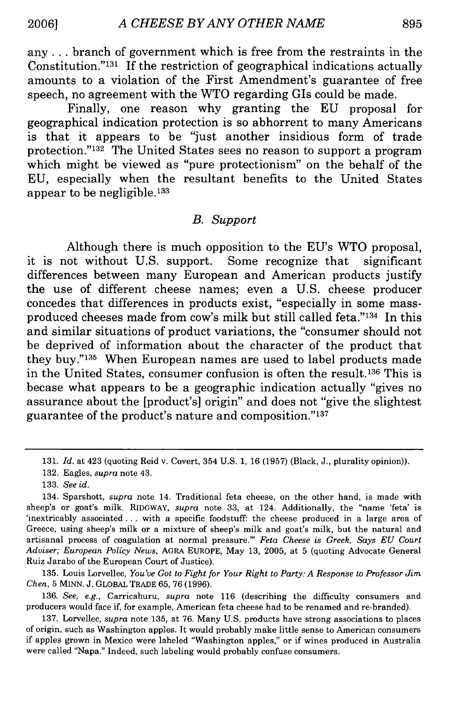any **...** branch of government which is free from the restraints in the Constitution." $131$  If the restriction of geographical indications actually amounts to a violation of the First Amendment's guarantee of free speech, no agreement with the WTO regarding GIs could be made.

Finally, one reason why granting the EU proposal for geographical indication protection is so abhorrent to many Americans is that it appears to be "just another insidious form of trade protection."<sup>132</sup> The United States sees no reason to support a program which might be viewed as "pure protectionism" on the behalf of the EU, especially when the resultant benefits to the United States appear to be negligible. $133$ 

#### *B. Support*

Although there is much opposition to the EU's WTO proposal, it is not without U.S. support. Some recognize that significant differences between many European and American products justify the use of different cheese names; even a U.S. cheese producer concedes that differences in products exist, "especially in some massproduced cheeses made from cow's milk but still called feta."<sup>134</sup> In this and similar situations of product variations, the "consumer should not be deprived of information about the character of the product that they buy."<sup>135</sup> When European names are used to label products made in the United States, consumer confusion is often the result.<sup>136</sup> This is becase what appears to be a geographic indication actually "gives no assurance about the [product's] origin" and does not "give the slightest guarantee of the product's nature and composition."137

135. Louis Lorvellec, *You've Got to Fight for Your Right to Party: A Response to Professor Jim Chen,* 5 MINN. J. GLOBAL TRADE 65, 76 (1996).

136. *See, e.g.,* Carricaburu, *supra* note 116 (describing the difficulty consumers and producers would face if, for example, American feta cheese had to be renamed and re-branded).

<sup>131.</sup> *Id.* at 423 (quoting Reid v. Covert, 354 U.S. 1, 16 (1957) (Black, J., plurality opinion)).

<sup>132.</sup> Eagles, *supra* note 43.

<sup>133.</sup> *See id.*

<sup>134.</sup> Sparshott, *supra* note 14. Traditional feta cheese, on the other hand, is made with sheep's or goat's milk. RIDGWAY, *supra* note 33, at 124. Additionally, the "name 'feta' is 'inextricably associated.., with a specific foodstuff: the cheese produced in a large area of Greece, using sheep's milk or a mixture of sheep's milk and goat's milk, but the natural and artisanal process of coagulation at normal pressure."' *Feta Cheese is Greek, Says EU Court Adviser; European Policy News,* AGRA EUROPE, May 13, 2005, at 5 (quoting Advocate General Ruiz Jarabo of the European Court of Justice).

<sup>137.</sup> Lorvellec, *supra* note 135, at 76. Many U.S. products have strong associations to places of origin, such as Washington apples. It would probably make little sense to American consumers if apples grown in Mexico were labeled "Washington apples," or if wines produced in Australia were called "Napa." Indeed, such labeling would probably confuse consumers.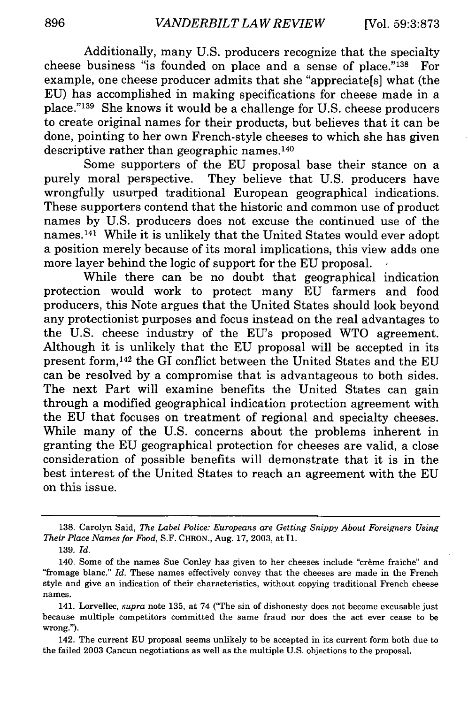Additionally, many U.S. producers recognize that the specialty cheese business "is founded on place and a sense of place."<sup>138</sup> For example, one cheese producer admits that she "appreciate[s] what (the EU) has accomplished in making specifications for cheese made in a place."'139 She knows it would be a challenge for U.S. cheese producers to create original names for their products, but believes that it can be done, pointing to her own French-style cheeses to which she has given descriptive rather than geographic names.<sup>140</sup>

Some supporters of the EU proposal base their stance on a purely moral perspective. They believe that U.S. producers have wrongfully usurped traditional European geographical indications. These supporters contend that the historic and common use of product names by U.S. producers does not excuse the continued use of the names. 141 While it is unlikely that the United States would ever adopt a position merely because of its moral implications, this view adds one more layer behind the logic of support for the EU proposal.

While there can be no doubt that geographical indication protection would work to protect many EU farmers and food producers, this Note argues that the United States should look beyond any protectionist purposes and focus instead on the real advantages to the U.S. cheese industry of the EU's proposed WTO agreement. Although it is unlikely that the EU proposal will be accepted in its present form, 142 the GI conflict between the United States and the EU can be resolved by a compromise that is advantageous to both sides. The next Part will examine benefits the United States can gain through a modified geographical indication protection agreement with the EU that focuses on treatment of regional and specialty cheeses. While many of the U.S. concerns about the problems inherent in granting the EU geographical protection for cheeses are valid, a close consideration of possible benefits will demonstrate that it is in the best interest of the United States to reach an agreement with the EU on this issue.

<sup>138.</sup> Carolyn Said, *The Label Police: Europeans are Getting Snippy About Foreigners Using Their Place Names for Food,* S.F. CHRON., Aug. 17, 2003, at I1.

<sup>139.</sup> *Id.*

<sup>140.</sup> Some of the names Sue Conley has given to her cheeses include "crème fraiche" and "fromage blanc." *Id.* These names effectively convey that the cheeses are made in the French style and give an indication of their characteristics, without copying traditional French cheese names.

<sup>141.</sup> Lorvellec, *supra* note 135, at 74 ('The sin of dishonesty does not become excusable just because multiple competitors committed the same fraud nor does the act ever cease to be wrong.").

<sup>142.</sup> The current EU proposal seems unlikely to be accepted in its current form both due to the failed 2003 Cancun negotiations as well as the multiple U.S. objections to the proposal.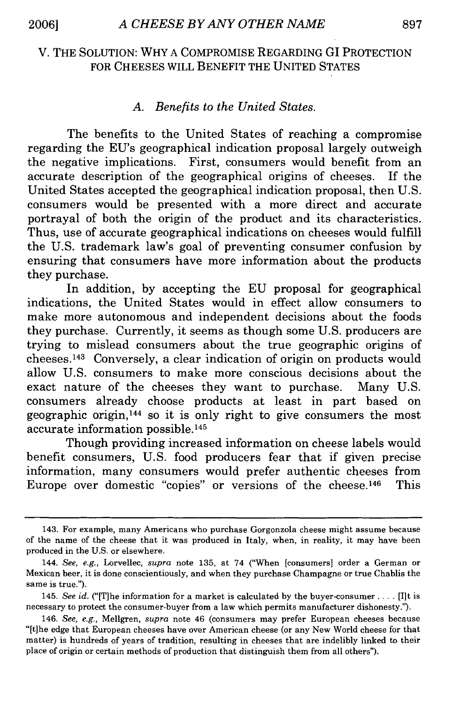#### V. THE SOLUTION: WHY A COMPROMISE REGARDING **GI** PROTECTION FOR CHEESES WILL BENEFIT THE UNITED STATES

#### *A. Benefits to the United States.*

The benefits to the United States of reaching a compromise regarding the EU's geographical indication proposal largely outweigh the negative implications. First, consumers would benefit from an accurate description of the geographical origins of cheeses. If the United States accepted the geographical indication proposal, then U.S. consumers would be presented with a more direct and accurate portrayal of both the origin of the product and its characteristics. Thus, use of accurate geographical indications on cheeses would fulfill the U.S. trademark law's goal of preventing consumer confusion by ensuring that consumers have more information about the products they purchase.

In addition, by accepting the EU proposal for geographical indications, the United States would in effect allow consumers to make more autonomous and independent decisions about the foods they purchase. Currently, it seems as though some U.S. producers are trying to mislead consumers about the true geographic origins of cheeses. 143 Conversely, a clear indication of origin on products would allow U.S. consumers to make more conscious decisions about the exact nature of the cheeses they want to purchase. Many U.S. consumers already choose products at least in part based on geographic origin, $144$  so it is only right to give consumers the most accurate information possible.<sup>145</sup>

Though providing increased information on cheese labels would benefit consumers, U.S. food producers fear that if given precise information, many consumers would prefer authentic cheeses from Europe over domestic "copies" or versions of the cheese.<sup>146</sup> This

<sup>143.</sup> For example, many Americans who purchase Gorgonzola cheese might assume because of the name of the cheese that it was produced in Italy, when, in reality, it may have been produced in the U.S. or elsewhere.

<sup>144.</sup> *See, e.g.,* Lorvellec, *supra* note 135, at 74 ("When [consumers] order a German or Mexican beer, it is done conscientiously, and when they purchase Champagne or true Chablis the same is true.").

<sup>145.</sup> *See id.* ("[T]he information for a market is calculated by the buyer-consumer **....** [I]t is necessary to protect the consumer-buyer from a law which permits manufacturer dishonesty.").

<sup>146.</sup> *See, e.g.,* Mellgren, *supra* note 46 (consumers may prefer European cheeses because "[t]he edge that European cheeses have over American cheese (or any New World cheese for that matter) is hundreds of years of tradition, resulting in cheeses that are indelibly linked to their place of origin or certain methods of production that distinguish them from all others").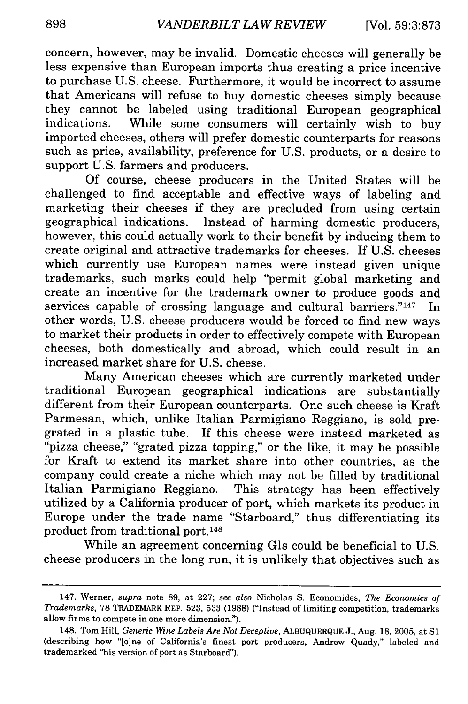concern, however, may be invalid. Domestic cheeses will generally be less expensive than European imports thus creating a price incentive to purchase U.S. cheese. Furthermore, it would be incorrect to assume that Americans will refuse to buy domestic cheeses simply because they cannot be labeled using traditional European geographical indications. While some consumers will certainly wish to buy imported cheeses, others will prefer domestic counterparts for reasons such as price, availability, preference for U.S. products, or a desire to support U.S. farmers and producers.

Of course, cheese producers in the United States will be challenged to find acceptable and effective ways of labeling and marketing their cheeses if they are precluded from using certain geographical indications. Instead of harming domestic producers, however, this could actually work to their benefit by inducing them to create original and attractive trademarks for cheeses. If U.S. cheeses which currently use European names were instead given unique trademarks, such marks could help "permit global marketing and create an incentive for the trademark owner to produce goods and services capable of crossing language and cultural barriers." $147$  In other words, U.S. cheese producers would be forced to find new ways to market their products in order to effectively compete with European cheeses, both domestically and abroad, which could result in an increased market share for U.S. cheese.

Many American cheeses which are currently marketed under traditional European geographical indications are substantially different from their European counterparts. One such cheese is Kraft Parmesan, which, unlike Italian Parmigiano Reggiano, is sold pregrated in a plastic tube. If this cheese were instead marketed as "pizza cheese," "grated pizza topping," or the like, it may be possible for Kraft to extend its market share into other countries, as the company could create a niche which may not be filled by traditional Italian Parmigiano Reggiano. This strategy has been effectively utilized by a California producer of port, which markets its product in Europe under the trade name "Starboard," thus differentiating its product from traditional port. <sup>148</sup>

While an agreement concerning GIs could be beneficial to U.S. cheese producers in the long run, it is unlikely that objectives such as

<sup>147.</sup> Werner, *supra* note 89, at 227; *see also* Nicholas S. Economides, *The Economics of Trademarks,* 78 TRADEMARK REP. 523, 533 (1988) ("Instead of limiting competition, trademarks allow firms to compete in one more dimension.").

<sup>148.</sup> Tom Hill, *Generic Wine Labels Are Not Deceptive,* **ALBUQUERQUE** J., Aug. 18, 2005, at **S1** (describing how "[o]ne of California's finest port producers, Andrew Quady," labeled and trademarked "his version of port as Starboard").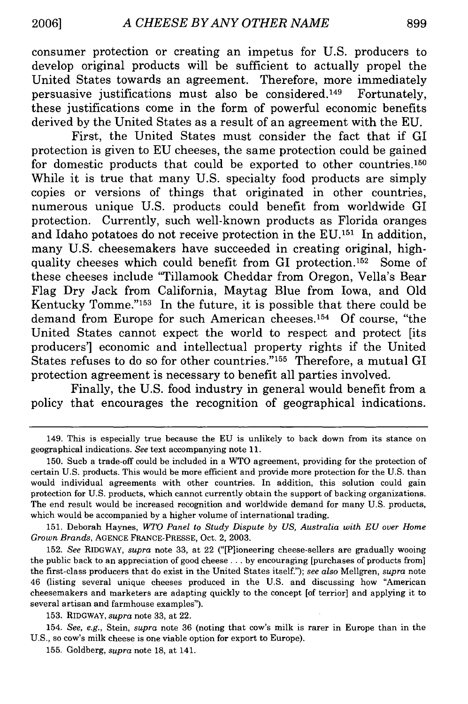consumer protection or creating an impetus for U.S. producers to develop original products will be sufficient to actually propel the United States towards an agreement. Therefore, more immediately persuasive justifications must also be considered. 149 Fortunately, these justifications come in the form of powerful economic benefits derived by the United States as a result of an agreement with the EU.

First, the United States must consider the fact that if GI protection is given to EU cheeses, the same protection could be gained for domestic products that could be exported to other countries. <sup>150</sup> While it is true that many U.S. specialty food products are simply copies or versions of things that originated in other countries, numerous unique U.S. products could benefit from worldwide GI protection. Currently, such well-known products as Florida oranges and Idaho potatoes do not receive protection in the **EU. <sup>151</sup>**In addition, many U.S. cheesemakers have succeeded in creating original, highquality cheeses which could benefit from GI protection.<sup>152</sup> Some of these cheeses include "Tillamook Cheddar from Oregon, Vella's Bear Flag Dry Jack from California, Maytag Blue from Iowa, and Old Kentucky Tomme." $153$  In the future, it is possible that there could be demand from Europe for such American cheeses.154 Of course, "the United States cannot expect the world to respect and protect [its producers'] economic and intellectual property rights if the United States refuses to do so for other countries."<sup>155</sup> Therefore, a mutual GI protection agreement is necessary to benefit all parties involved.

Finally, the U.S. food industry in general would benefit from a policy that encourages the recognition of geographical indications.

<sup>149.</sup> This is especially true because the EU is unlikely to back down from its stance on geographical indications. *See* text accompanying note 11.

<sup>150.</sup> Such a trade-off could be included in a WTO agreement, providing for the protection of certain U.S. products. This would be more efficient and provide more protection for the U.S. than would individual agreements with other countries. In addition, this solution could gain protection for U.S. products, which cannot currently obtain the support of backing organizations. The end result would be increased recognition and worldwide demand for many U.S. products, which would be accompanied by a higher volume of international trading.

<sup>151.</sup> Deborah Haynes, *WTO Panel to Study Dispute by US, Australia with EU over Home Grown Brands,* AGENCE FRANCE-PRESSE, Oct. 2, 2003.

<sup>152.</sup> *See* RIDGWAY, *supra* note 33, at 22 ("[P]ioneering cheese-sellers are gradually wooing the public back to an appreciation of good cheese **...** by encouraging [purchases of products from] the first-class producers that do exist in the United States itself."); *see also* Mellgren, *supra* note 46 (listing several unique cheeses produced in the U.S. and discussing how "American cheesemakers and marketers are adapting quickly to the concept [of terrior] and applying it to several artisan and farmhouse examples").

<sup>153.</sup> RIDGWAY, *supra* note 33, at 22.

<sup>154.</sup> *See, e.g.,* Stein, *supra* note 36 (noting that cow's milk is rarer in Europe than in the U.S., so cow's milk cheese is one viable option for export to Europe).

<sup>155.</sup> Goldberg, *supra* note **18,** at 141.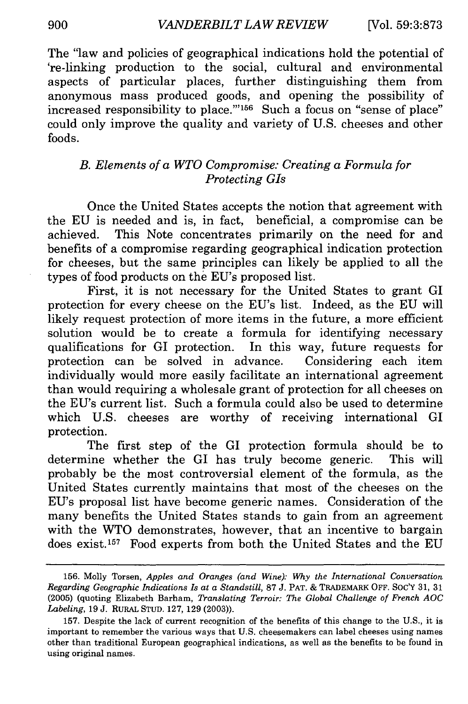The "law and policies of geographical indications hold the potential of 're-linking production to the social, cultural and environmental aspects of particular places, further distinguishing them from anonymous mass produced goods, and opening the possibility of increased responsibility to place."<sup>156</sup> Such a focus on "sense of place" could only improve the quality and variety of U.S. cheeses and other foods.

#### *B. Elements of a WTO Compromise: Creating a Formula for Protecting GIs*

Once the United States accepts the notion that agreement with the EU is needed and is, in fact, beneficial, a compromise can be achieved. This Note concentrates primarily on the need for and benefits of a compromise regarding geographical indication protection for cheeses, but the same principles can likely be applied to all the types of food products on the EU's proposed list.

First, it is not necessary for the United States to grant GI protection for every cheese on the EU's list. Indeed, as the EU will likely request protection of more items in the future, a more efficient solution would be to create a formula for identifying necessary qualifications for GI protection. In this way, future requests for protection can be solved in advance. Considering each item individually would more easily facilitate an international agreement than would requiring a wholesale grant of protection for all cheeses on the EU's current list. Such a formula could also be used to determine which U.S. cheeses are worthy of receiving international GI protection.

The first step of the GI protection formula should be to determine whether the GI has truly become generic. This will probably be the most controversial element of the formula, as the United States currently maintains that most of the cheeses on the EU's proposal list have become generic names. Consideration of the many benefits the United States stands to gain from an agreement with the WTO demonstrates, however, that an incentive to bargain does exist.157 Food experts from both the United States and the EU

<sup>156.</sup> Molly Torsen, *Apples and Oranges (and Wine): Why the International Conversation Regarding Geographic Indications Is at a Standstill,* 87 J. PAT. & TRADEMARK OFF. SoC'Y 31, 31 (2005) (quoting Elizabeth Barham, *Translating Terroir: The Global Challenge of French AOC Labeling,* 19 J. RURAL STUD. 127, 129 (2003)).

<sup>157.</sup> Despite the lack of current recognition of the benefits of this change to the U.S., it is important to remember the various ways that U.S. cheesemakers can label cheeses using names other than traditional European geographical indications, as well as the benefits to be found in using original names.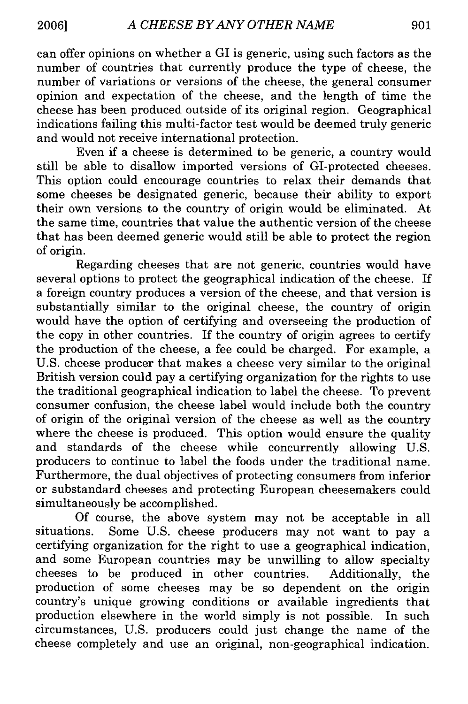can offer opinions on whether a GI is generic, using such factors as the number of countries that currently produce the type of cheese, the number of variations or versions of the cheese, the general consumer opinion and expectation of the cheese, and the length of time the cheese has been produced outside of its original region. Geographical indications failing this multi-factor test would be deemed truly generic and would not receive international protection.

Even if a cheese is determined to be generic, a country would still be able to disallow imported versions of GI-protected cheeses. This option could encourage countries to relax their demands that some cheeses be designated generic, because their ability to export their own versions to the country of origin would be eliminated. At the same time, countries that value the authentic version of the cheese that has been deemed generic would still be able to protect the region of origin.

Regarding cheeses that are not generic, countries would have several options to protect the geographical indication of the cheese. If a foreign country produces a version of the cheese, and that version is substantially similar to the original cheese, the country of origin would have the option of certifying and overseeing the production of the copy in other countries. If the country of origin agrees to certify the production of the cheese, a fee could be charged. For example, a U.S. cheese producer that makes a cheese very similar to the original British version could pay a certifying organization for the rights to use the traditional geographical indication to label the cheese. To prevent consumer confusion, the cheese label would include both the country of origin of the original version of the cheese as well as the country where the cheese is produced. This option would ensure the quality and standards of the cheese while concurrently allowing U.S. producers to continue to label the foods under the traditional name. Furthermore, the dual objectives of protecting consumers from inferior or substandard cheeses and protecting European cheesemakers could simultaneously be accomplished.

Of course, the above system may not be acceptable in all situations. Some U.S. cheese producers may not want to pay a certifying organization for the right to use a geographical indication, and some European countries may be unwilling to allow specialty cheeses to be produced in other countries. Additionally, the production of some cheeses may be so dependent on the origin country's unique growing conditions or available ingredients that production elsewhere in the world simply is not possible. In such circumstances, U.S. producers could just change the name of the cheese completely and use an original, non-geographical indication.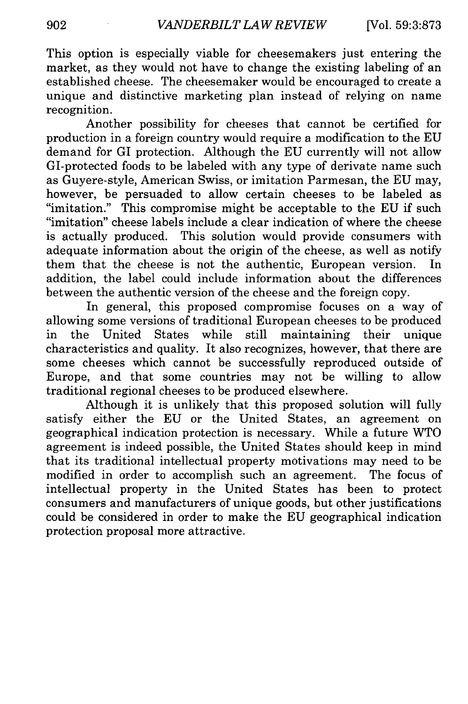This option is especially viable for cheesemakers just entering the market, as they would not have to change the existing labeling of an established cheese. The cheesemaker would be encouraged to create a unique and distinctive marketing plan instead of relying on name recognition.

Another possibility for cheeses that cannot be certified for production in a foreign country would require a modification to the EU demand for GI protection. Although the EU currently will not allow GI-protected foods to be labeled with any type of derivate name such as Guyere-style, American Swiss, or imitation Parmesan, the EU may, however, be persuaded to allow certain cheeses to be labeled as "imitation." This compromise might be acceptable to the EU if such "imitation" cheese labels include a clear indication of where the cheese is actually produced. This solution would provide consumers with adequate information about the origin of the cheese, as well as notify them that the cheese is not the authentic, European version. In addition, the label could include information about the differences between the authentic version of the cheese and the foreign copy.

In general, this proposed compromise focuses on a way of allowing some versions of traditional European cheeses to be produced in the United States while still maintaining their unique characteristics and quality. It also recognizes, however, that there are some cheeses which cannot be successfully reproduced outside of Europe, and that some countries may not be willing to allow traditional regional cheeses to be produced elsewhere.

Although it is unlikely that this proposed solution will fully satisfy either the EU or the United States, an agreement on geographical indication protection is necessary. While a future WTO agreement is indeed possible, the United States should keep in mind that its traditional intellectual property motivations may need to be modified in order to accomplish such an agreement. The focus of intellectual property in the United States has been to protect consumers and manufacturers of unique goods, but other justifications could be considered in order to make the EU geographical indication protection proposal more attractive.